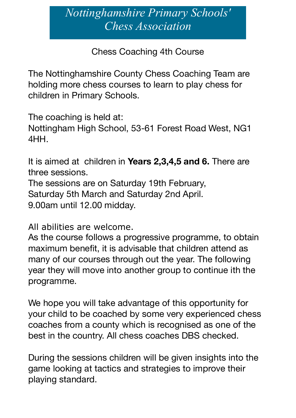## *Nottinghamshire Primary Schools' Chess Association*

Chess Coaching 4th Course

The Nottinghamshire County Chess Coaching Team are holding more chess courses to learn to play chess for children in Primary Schools.

The coaching is held at: Nottingham High School, 53-61 Forest Road West, NG1 4HH.

It is aimed at children in **Years 2,3,4,5 and 6.** There are three sessions. The sessions are on Saturday 19th February, Saturday 5th March and Saturday 2nd April. 9.00am until 12.00 midday.

All abilities are welcome.

As the course follows a progressive programme, to obtain maximum benefit, it is advisable that children attend as many of our courses through out the year. The following year they will move into another group to continue ith the programme.

We hope you will take advantage of this opportunity for your child to be coached by some very experienced chess coaches from a county which is recognised as one of the best in the country. All chess coaches DBS checked.

During the sessions children will be given insights into the game looking at tactics and strategies to improve their playing standard.